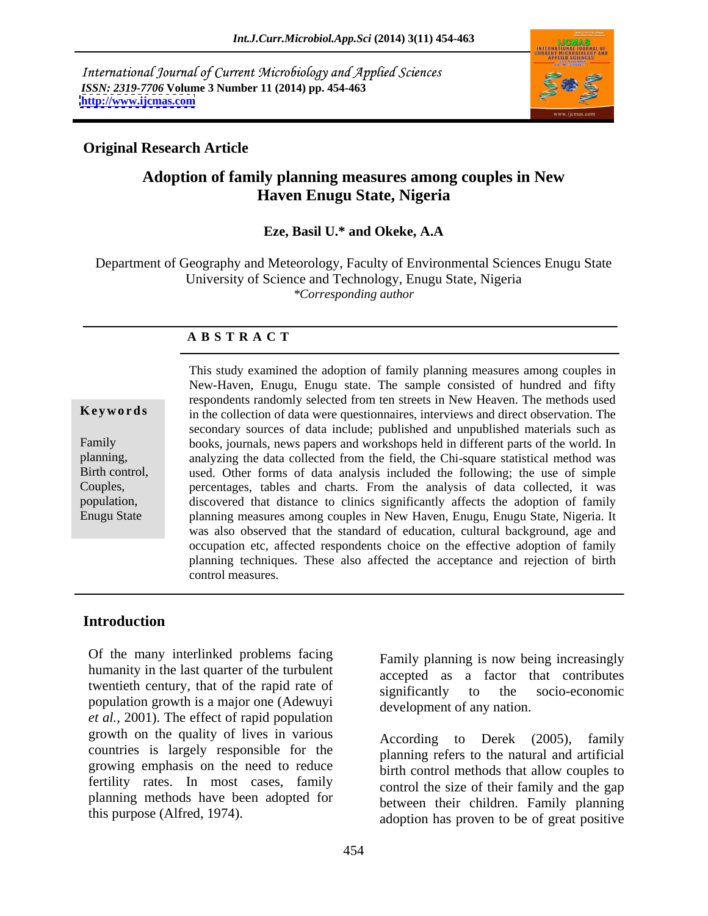International Journal of Current Microbiology and Applied Sciences *ISSN: 2319-7706* **Volume 3 Number 11 (2014) pp. 454-463 <http://www.ijcmas.com>**



## **Original Research Article**

## **Adoption of family planning measures among couples in New Haven Enugu State, Nigeria**

## **Eze, Basil U.\* and Okeke, A.A**

Department of Geography and Meteorology, Faculty of Environmental Sciences Enugu State University of Science and Technology, Enugu State, Nigeria *\*Corresponding author* 

### **A B S T R A C T**

**Keywords** in the collection of data were questionnaires, interviews and direct observation. The Family books, journals, news papers and workshops held in different parts of the world. In planning, analyzing the data collected from the field, the Chi-square statistical method was Birth control, used. Other forms of data analysis included the following; the use of simple Couples, percentages, tables and charts. From the analysis of data collected, it was population, discovered that distance to clinics significantly affects the adoption of family Enugu State planning measures among couples in New Haven, Enugu, Enugu State, Nigeria. It This study examined the adoption of family planning measures among couples in New-Haven, Enugu, Enugu state. The sample consisted of hundred and fifty respondents randomly selected from ten streets in New Heaven. The methods used secondary sources of data include; published and unpublished materials such as was also observed that the standard of education, cultural background, age and occupation etc, affected respondents choice on the effective adoption of family planning techniques. These also affected the acceptanceand rejection of birth control measures.

## **Introduction**

Of the many interlinked problems facing Family planning is now being increasingly humanity in the last quarter of the turbulent twentieth century, that of the rapid rate of significantly to the socio-economic population growth is a major one (Adewuyi *et al.,* 2001). The effect of rapid population growth on the quality of lives in various countries is largely responsible for the growing emphasis on the need to reduce fertility rates. In most cases, family planning methods have been adopted for Of the many interlinked problems lacing<br>
humanity in the last quarter of the turbulent<br>
twentieth century, that of the rapid rate of<br>
significantly to the socio-economic<br>
population growth is a major one (Adewuyi<br>
growth o

accepted as a factor that contributes significantly to the socio-economic development of any nation.

to Derek  $(2005)$ , family planning refers to the natural and artificial birth control methods that allow couples to control the size of their family and the gap between their children. Family planning adoption has proven to be of great positive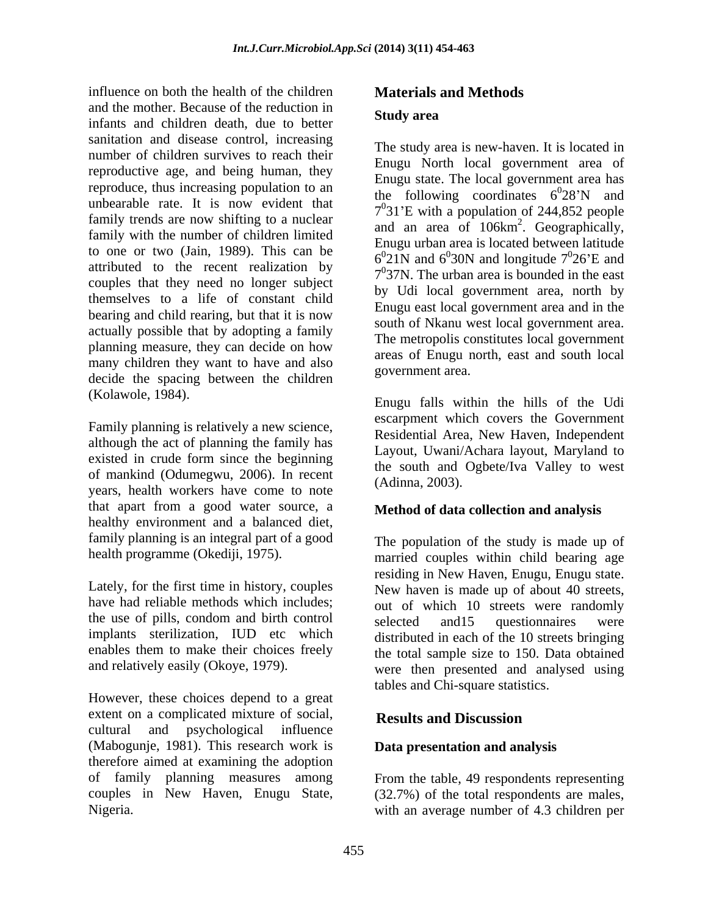influence on both the health of the children and the mother. Because of the reduction in infants and children death, due to better sanitation and disease control, increasing number of children survives to reach their reproductive age, and being human, they reproduce, thus increasing population to an unbearable rate. It is now evident that family trends are now shifting to a nuclear family with the number of children limited to one or two (Jain, 1989). This can be attributed to the recent realization by couples that they need no longer subject themselves to a life of constant child bearing and child rearing, but that it is now actually possible that by adopting a family planning measure, they can decide on how many children they want to have and also decide the spacing between the children

although the act of planning the family has existed in crude form since the beginning of mankind (Odumegwu, 2006). In recent years, health workers have come to note that apart from a good water source, a healthy environment and a balanced diet, family planning is an integral part of a good

However, these choices depend to a great extent on a complicated mixture of social, **Results and Discussion** cultural and psychological influence (Mabogunje, 1981). This research work is therefore aimed at examining the adoption couples in New Haven, Enugu State, (32.7%) of the total respondents are males, Nigeria. With an average number of 4.3 children per

# **Materials and Methods Study area**

The study area is new-haven. It is located in Enugu North local government area of Enugu state. The local government area has the following coordinates  $6^028'N$  and  $\theta$ 20'N and  $28'$ N and 7 0 31 E with a population of 244,852 people and an area of 106km . Geographically,  $\frac{2}{1000}$ Enugu urban area is located between latitude  $6^0$ 21N and  $6^0$ 30N and longitude  $7^0$ 26'E and 30N and longitude  $7^026$ <sup>o</sup>E and  $0\Omega\epsilon E$  and  $26'E$  and 7 0 37N. The urban area is bounded in the east by Udi local government area, north by Enugu east local government area and in the south of Nkanu west local government area. The metropolis constitutes local government areas of Enugu north, east and south local government area.

(Kolawole, 1984).<br>
Family planning is relatively a new science,<br>
Family planning is relatively a new science,<br>
Posidential Area New Hoven Independent Enugu falls within the hills of the Udi escarpment which covers the Government Residential Area, New Haven, Independent Layout, Uwani/Achara layout, Maryland to the south and Ogbete/Iva Valley to west (Adinna, 2003).

## **Method of data collection and analysis**

health programme (Okediji, 1975). married couples within child bearing age Lately, for the first time in history, couples New haven is made up of about 40 streets, have had reliable methods which includes; out of which 10 streets were randomly the use of pills, condom and birth control selected and 15 questionnaires were implants sterilization, IUD etc which distributed in each of the 10 streets bringing enables them to make their choices freely the total sample size to 150. Data obtained and relatively easily (Okoye, 1979). were then presented and analysed using The population of the study is made up of residing in New Haven, Enugu, Enugu state. selected and15 questionnaires were tables and Chi-square statistics.

## **Results and Discussion**

## **Data presentation and analysis**

of family planning measures among From the table, 49 respondents representing (32.7%) of the total respondents are males, with an average number of 4.3 children per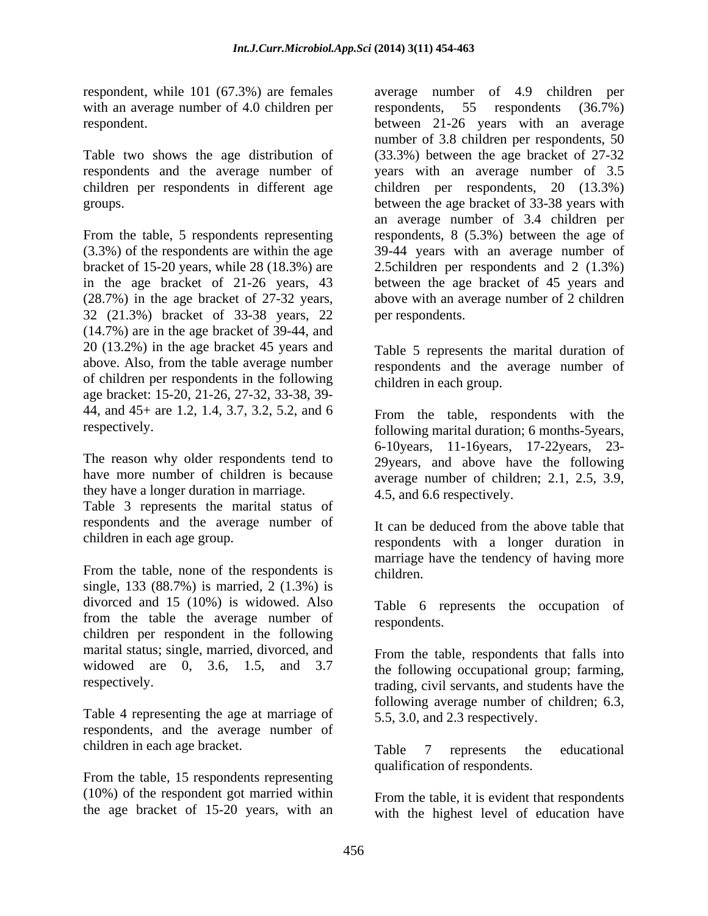respondent, while 101 (67.3%) are females average number of 4.9 children per with an average number of 4.0 children per respondents, 55 respondents (36.7%)

Table two shows the age distribution of respondents and the average number of

32 (21.3%) bracket of 33-38 years, 22 (14.7%) are in the age bracket of 39-44, and 20 (13.2%) in the age bracket 45 years and above. Also, from the table average number of children per respondents in the following age bracket: 15-20, 21-26, 27-32, 33-38, 39- 44, and 45+ are 1.2, 1.4, 3.7, 3.2, 5.2, and 6

they have a longer duration in marriage.

Table 3 represents the marital status of respondents and the average number of

From the table, none of the respondents is children. single, 133 (88.7%) is married, 2 (1.3%) is divorced and 15 (10%) is widowed. Also from the table the average number of children per respondent in the following marital status; single, married, divorced, and widowed are 0, 3.6, 1.5, and 3.7 the following occupational group; farming,

Table 4 representing the age at marriage of respondents, and the average number of children in each age bracket.<br>
Table 7 represents the educational

From the table, 15 respondents representing (10%) of the respondent got married within the age bracket of 15-20 years, with an

respondent. between 21-26 years with an average children per respondents in different age children per respondents, 20 (13.3%) groups. between the age bracket of 33-38 years with From the table, 5 respondents representing respondents, 8 (5.3%) between the age of (3.3%) of the respondents are within the age 39-44 years with an average number of bracket of 15-20 years, while 28 (18.3%) are 2.5children per respondents and 2 (1.3%) in the age bracket of 21-26 years, 43 between the age bracket of 45 years and (28.7%) in the age bracket of 27-32 years, above with an average number of 2 children respondents, 55 respondents (36.7%) number of 3.8 children per respondents, 50 (33.3%) between the age bracket of 27-32 years with an average number of 3.5 an average number of 3.4 children per per respondents.

> Table 5 represents the marital duration of respondents and the average number of children in each group.

respectively. following marital duration; 6 months-5years, The reason why older respondents tend to 29years, and above have the following have more number of children is because average number of children; 2.1, 2.5, 3.9, From the table, respondents with the 6-10years, 11-16years, 17-22years, 23- 4.5, and 6.6 respectively.

children in each age group. respondents with a longer duration in It can be deduced from the above table that marriage have the tendency of having more children.

> Table 6 represents the occupation of respondents.

respectively. trading, civil servants, and students have the From the table, respondents that falls into following average number of children; 6.3, 5.5, 3.0, and 2.3 respectively.

> Table 7 represents the educational qualification of respondents.

From the table, it is evident that respondents with the highest level of education have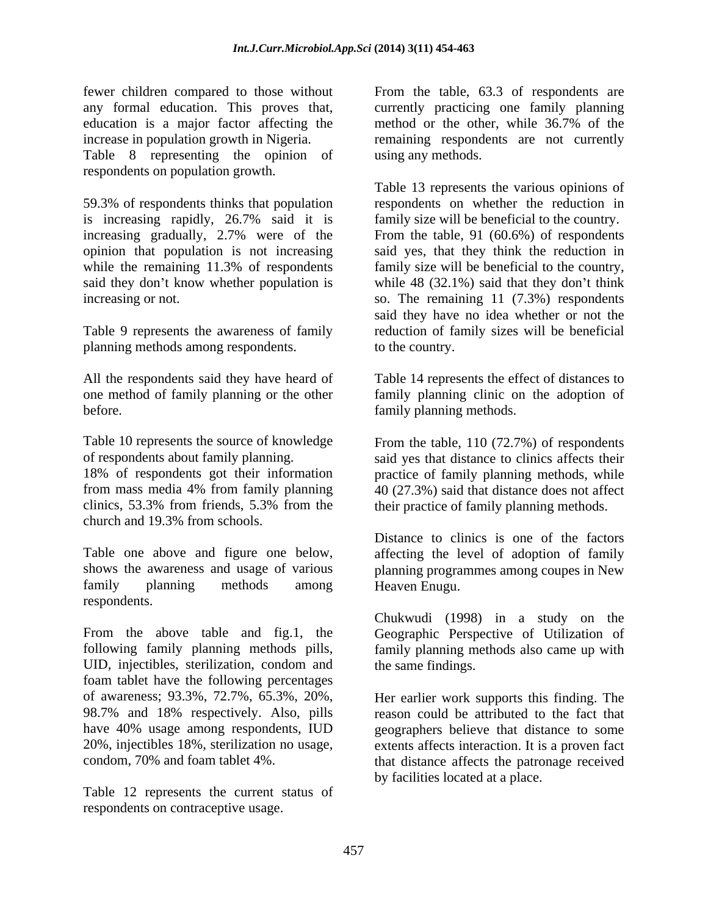fewer children compared to those without From the table, 63.3 of respondents are any formal education. This proves that, currently practicing one family planning education is a major factor affecting the method or the other, while 36.7% of the increase in population growth in Nigeria. The remaining respondents are not currently Table 8 representing the opinion of respondents on population growth.

is increasing rapidly, 26.7% said it is increasing gradually, 2.7% were of the

planning methods among respondents.

Table 10 represents the source of knowledge From the table, 110 (72.7%) of respondents of respondents about family planning. said yes that distance to clinics affects their 18% of respondents got their information practice of family planning methods, while from mass media 4% from family planning 40 (27.3%) said that distance does not affect clinics, 53.3% from friends, 5.3% from the their practice of family planning methods. church and 19.3% from schools.

Table one above and figure one below, affecting the level of adoption of family shows the awareness and usage of various planning programmes among coupes in New family planning methods among respondents.

From the above table and fig.1, the Geographic Perspective of Utilization of following family planning methods pills, family planning methods also came up with UID, injectibles, sterilization, condom and foam tablet have the following percentages of awareness; 93.3%, 72.7%, 65.3%, 20%, 98.7% and 18% respectively. Also, pills reason could be attributed to the fact that have 40% usage among respondents, IUD geographers believe that distance to some 20%, injectibles 18%, sterilization no usage, extents affects interaction. It is a proven fact

Table 12 represents the current status of respondents on contraceptive usage.

method or the other, while 36.7% of the using any methods.

59.3% of respondents thinks that population respondents on whether the reduction in increasing gradually, 2.7% were of the From the table, 91 (60.6%) of respondents opinion that population is not increasing said yes, that they think the reduction in while the remaining 11.3% of respondents family size will be beneficial to the country, said they don't know whether population is while 48 (32.1%) said that they don't think increasing or not. so. The remaining 11 (7.3%) respondents Table 9 represents the awareness of family reduction of family sizes will be beneficial Table 13 represents the various opinions of family size will be beneficial to the country. said they have no idea whether or not the to the country.

All the respondents said they have heard of Table 14 represents the effect of distances to one method of family planning or the other family planning clinic on the adoption of before. family planning methods.

Distance to clinics is one of the factors Heaven Enugu.

Chukwudi (1998) in a study on the the same findings.

condom, 70% and foam tablet 4%. that distance affects the patronage received Her earlier work supports this finding. The by facilities located at a place.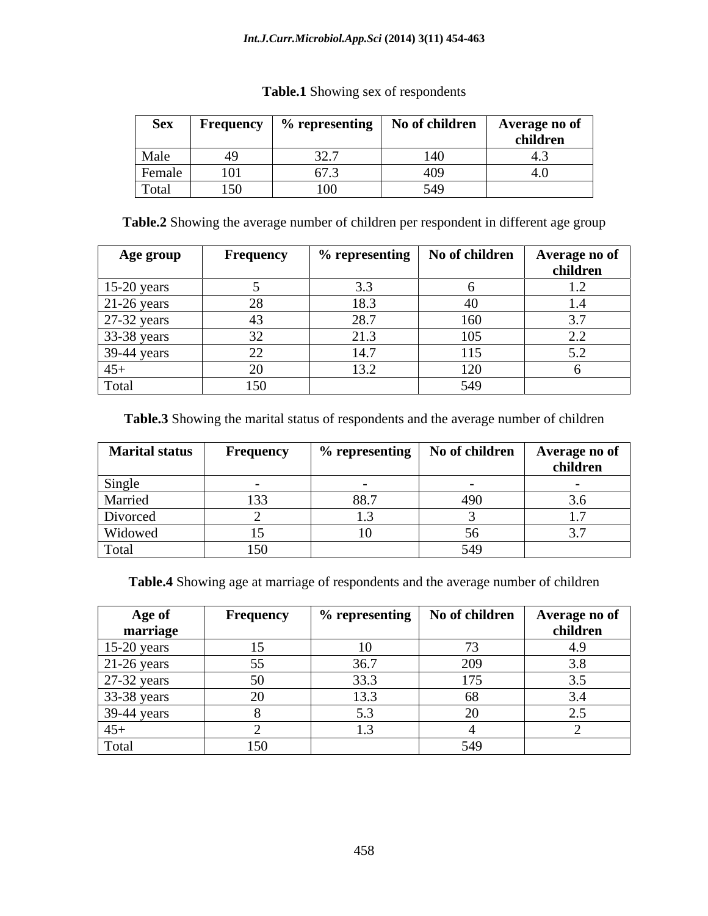#### *Int.J.Curr.Microbiol.App.Sci* **(2014) 3(11) 454-463**

| <b>Sex</b> | Frequency | o representing       | $\mathbf{\hat{f}}$ children<br>No of | Average no of |
|------------|-----------|----------------------|--------------------------------------|---------------|
|            |           |                      |                                      | children      |
| Male       |           | $\sim$ $\sim$<br>JZ. | 14V                                  |               |
| Female     | 101       | $\sim$ $-$           |                                      |               |
| Total      | 150       | 100                  | PA <sub>O</sub><br>りサプ               |               |

#### **Table.1** Showing sex of respondents

**Table.2** Showing the average number of children per respondent in different age group

| Age group     | Frequency    | $\frac{1}{2}$ % representing $\vert$ No of children $\vert$ |     | Average no of<br>children |
|---------------|--------------|-------------------------------------------------------------|-----|---------------------------|
| 15-20 years   |              | ົ່າ                                                         |     |                           |
| $21-26$ years | ററ<br>28.    | 18.3                                                        |     |                           |
| 27-32 years   |              | 28.7                                                        | 160 | 3.7                       |
| 33-38 years   |              |                                                             | 105 | <u>_</u>                  |
| 39-44 years   | $\cap$<br>∠∠ | 14.7                                                        | 115 |                           |
| $45+$         |              | 13.2                                                        | 120 |                           |
| Total         | 150          |                                                             | 549 |                           |

**Table.3** Showing the marital status of respondents and the average number of children

| <b>Marital status</b> | <b>Frequency</b> | $%$ representing $ $ | No of children | Average no of     |
|-----------------------|------------------|----------------------|----------------|-------------------|
|                       |                  |                      |                | children          |
| Single                |                  |                      |                |                   |
| Married               | $1 \cap$<br>133  | 88.7                 | $\sqrt{2}$     | $\cup \cdot \cup$ |
| Divorced              |                  |                      |                |                   |
| Widowed               |                  |                      |                |                   |
| Total                 | 150              |                      | 510            |                   |

**Table.4** Showing age at marriage of respondents and the average number of children

| Age of        | Frequency | $\%$ representing $\blacksquare$ | No of children | Average no of |
|---------------|-----------|----------------------------------|----------------|---------------|
| marriage      |           |                                  |                | children      |
| $15-20$ years |           |                                  |                | - 0           |
| $21-26$ years |           | 36 7                             | 200<br>$\sim$  | $\Omega$      |
| 27-32 years   |           | 33.3                             | 175            |               |
| 33-38 years   |           | LJ.L                             | 68             |               |
| $39-44$ years |           |                                  | $\Omega$       |               |
| $45+$         |           |                                  |                |               |
| Total         | 150       |                                  | 540<br>ノーノ     |               |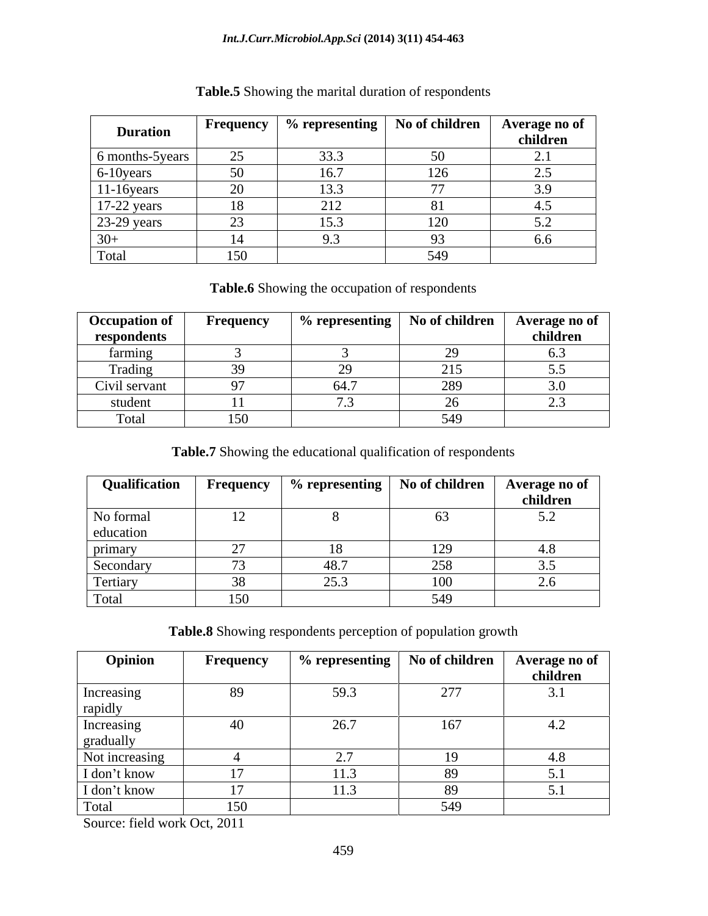#### *Int.J.Curr.Microbiol.App.Sci* **(2014) 3(11) 454-463**

| <b>Duration</b> | <b>Frequency</b>     | $\%$ representing      | No of children | Average no of<br>children |
|-----------------|----------------------|------------------------|----------------|---------------------------|
| 6 months-5years | $\sim$ $\sim$<br>رے  | 33.3                   |                | <u>.</u>                  |
| 6-10 years      | $50^{\circ}$         | LO. /                  | 126            | ∸…                        |
| $11-16$ years   | nΩ<br>ZV             | י י<br>ن. ب            | --             | 2 O<br>$\ddotsc$          |
| $17-22$ years   |                      | 212<br>$\sim$ 1 $\sim$ |                |                           |
| 23-29 years     | 2 <sup>2</sup><br>رے |                        | 120            |                           |
| $30+$           |                      |                        |                | $0.6^{\circ}$             |
| Total           | 150                  |                        | 549            |                           |

## **Table.5** Showing the marital duration of respondents

**Table.6** Showing the occupation of respondents

| <b>Occupation of</b> | <b>Frequency</b> | $\%$ representing $\parallel$     | No of children | Average no of      |
|----------------------|------------------|-----------------------------------|----------------|--------------------|
| respondents          |                  |                                   |                | children           |
| farming              |                  |                                   |                |                    |
| Trading              |                  |                                   | 215<br>້ີ⊥ີ    |                    |
| Civil servant        |                  | $\epsilon$ 1 $\tau$<br>, <i>.</i> | 0.00<br>209    | $\sim \cdot \circ$ |
| student              |                  |                                   | $\sim$<br>∼    | $\sim$<br>–⊷       |
| Total                | 150              |                                   | 540<br>ノーノ     |                    |

**Table.7** Showing the educational qualification of respondents

| Qualification | Frequency        |      | $%$ representing   No of children | Average no of |
|---------------|------------------|------|-----------------------------------|---------------|
|               |                  |      |                                   | children      |
| No formal     | 12 <sub>1</sub>  |      | 63                                |               |
| education     |                  |      |                                   |               |
| primary       |                  |      | 1/2                               |               |
| Secondary     | 73               | 48.7 | 258<br>້                          |               |
| Tertiary      | $\Omega$<br>- 38 | 25.3 | 100                               |               |
| Total         | 150              |      | 549                               |               |

**Table.8** Showing respondents perception of population growth

| Opinion                 | <b>Frequency</b> | $\frac{1}{2}$ % representing $\vert$ No of children $\vert$ |          | Average no of<br>children     |
|-------------------------|------------------|-------------------------------------------------------------|----------|-------------------------------|
| Increasing<br>rapidly   | 89               | 59.3                                                        | 277      | 3.1                           |
| Increasing<br>gradually | 40               | 26.7                                                        | 167      | 4.2                           |
| Not increasing          |                  |                                                             |          | 4.8                           |
| I don't know            |                  | ر. 1                                                        | 89       |                               |
| I don't know            |                  | 11.3                                                        | $\Omega$ | $\mathbf{J} \cdot \mathbf{I}$ |
| Total                   | 150              |                                                             | 549      |                               |

Source: field work Oct, 2011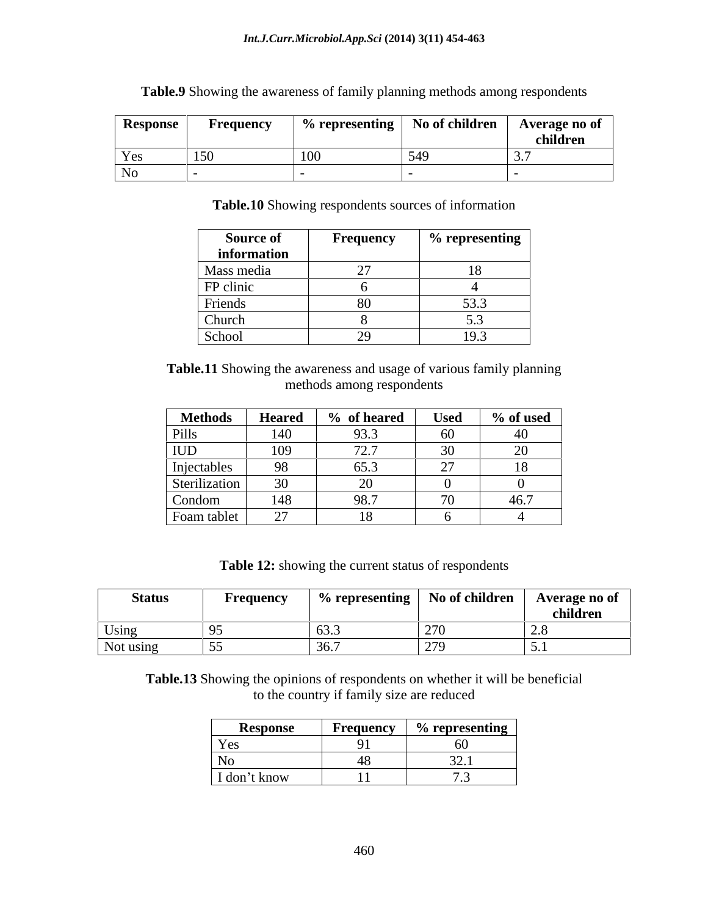| <b>Response</b> | Frequency    |     | $%$ representing $ $ No of children | Average no of |
|-----------------|--------------|-----|-------------------------------------|---------------|
|                 |              |     |                                     | children      |
| Yes             | 150<br>1 J V | 100 | $\sim$ $\sim$                       |               |
| No              |              |     |                                     |               |

**Table.9** Showing the awareness of family planning methods among respondents

**Table.10** Showing respondents sources of information

| Source of     | <b>Frequency</b> | $\%$ representing                |
|---------------|------------------|----------------------------------|
| information   |                  |                                  |
| Mass media    |                  |                                  |
| FP clinic     |                  |                                  |
| Friends       | 80               | $\overline{\phantom{a}}$<br>JJ.J |
| <b>Church</b> |                  |                                  |
| School        | ∼                | 1 J .J                           |

**Table.11** Showing the awareness and usage of various family planning methods among respondents

| <b>Methods</b>                          | <b>Heared</b>   | of heared | <b>Used</b>              | % of used                            |
|-----------------------------------------|-----------------|-----------|--------------------------|--------------------------------------|
| Pills                                   | 110             | 93.3      | - ^                      | 40 I                                 |
| <b>IUD</b>                              | 109             | 72.7      | $\Omega$                 | $\Delta$<br>$\overline{\phantom{0}}$ |
| Injectables<br>$\overline{\phantom{a}}$ | $\Omega$        | 65.3      | $\sim$                   |                                      |
| Sterilization                           | 30 <sup>2</sup> | - 1       |                          |                                      |
| Condom                                  | 148             | 98.7      | $\overline{\phantom{a}}$ | $AC$ $7$<br>40. L                    |
| Foam tablet                             | $\mathcal{L}$   |           |                          |                                      |

**Table 12:** showing the current status of respondents

**Table.13** Showing the opinions of respondents on whether it will be beneficial to the country if family size are reduced

| Response         | <b>Frequency</b>            | $\%$ representing       |
|------------------|-----------------------------|-------------------------|
| ັດຕ<br>$1 \circ$ | $\sim$ $\sim$<br>, <u>.</u> | 6U<br>◡◡                |
| N0.              |                             | $\sim$ $\sim$<br>J 4. 1 |
| I don't know     | .<br>$\mathbf{1}$           | $ -$                    |